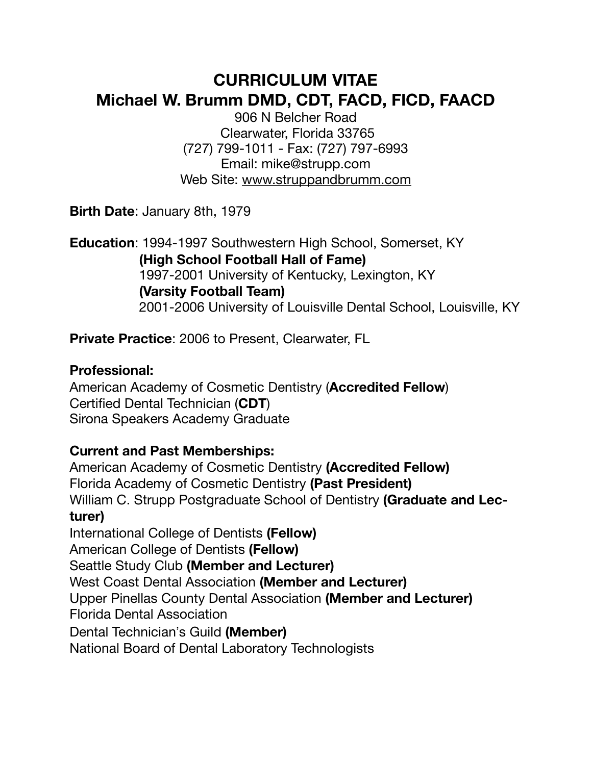# **CURRICULUM VITAE Michael W. Brumm DMD, CDT, FACD, FICD, FAACD**

906 N Belcher Road Clearwater, Florida 33765 (727) 799-1011 - Fax: (727) 797-6993 Email: mike@strupp.com Web Site: [www.struppandbrumm.com](http://www.struppandbrumm.com)

**Birth Date**: January 8th, 1979

**Education**: 1994-1997 Southwestern High School, Somerset, KY **(High School Football Hall of Fame)** 1997-2001 University of Kentucky, Lexington, KY **(Varsity Football Team)** 2001-2006 University of Louisville Dental School, Louisville, KY

**Private Practice**: 2006 to Present, Clearwater, FL

#### **Professional:**

American Academy of Cosmetic Dentistry (**Accredited Fellow**) Certified Dental Technician (**CDT**) Sirona Speakers Academy Graduate

## **Current and Past Memberships:**

American Academy of Cosmetic Dentistry **(Accredited Fellow)** Florida Academy of Cosmetic Dentistry **(Past President)** William C. Strupp Postgraduate School of Dentistry **(Graduate and Lecturer)**  International College of Dentists **(Fellow)**  American College of Dentists **(Fellow)**  Seattle Study Club **(Member and Lecturer)** West Coast Dental Association **(Member and Lecturer)** Upper Pinellas County Dental Association **(Member and Lecturer)**  Florida Dental Association Dental Technician's Guild **(Member)** National Board of Dental Laboratory Technologists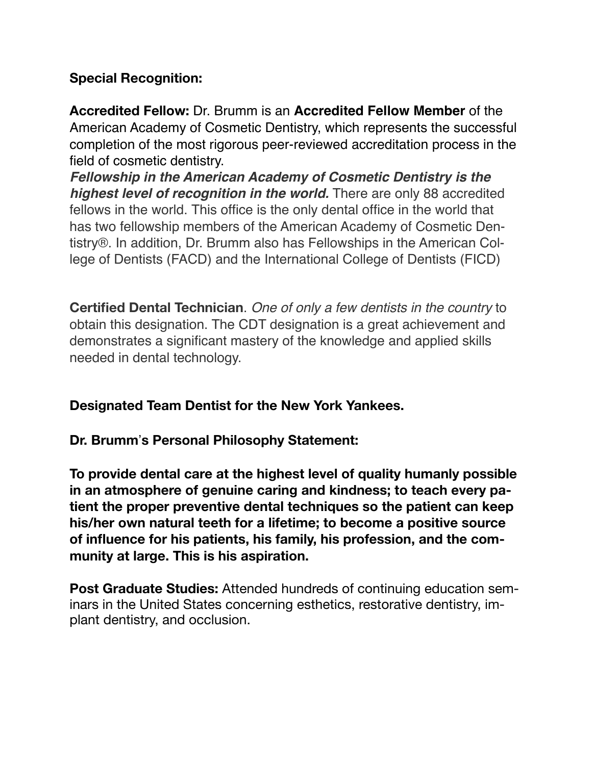# **Special Recognition:**

**Accredited Fellow:** Dr. Brumm is an **Accredited Fellow Member** of the American Academy of Cosmetic Dentistry, which represents the successful completion of the most rigorous peer-reviewed accreditation process in the field of cosmetic dentistry.

*Fellowship in the American Academy of Cosmetic Dentistry is the highest level of recognition in the world.* There are only 88 accredited fellows in the world. This office is the only dental office in the world that has two fellowship members of the American Academy of Cosmetic Dentistry®. In addition, Dr. Brumm also has Fellowships in the American College of Dentists (FACD) and the International College of Dentists (FICD)

**Certified Dental Technician**. *One of only a few dentists in the country* to obtain this designation. The CDT designation is a great achievement and demonstrates a significant mastery of the knowledge and applied skills needed in dental technology.

## **Designated Team Dentist for the New York Yankees.**

## **Dr. Brumm**!**s Personal Philosophy Statement:**

**To provide dental care at the highest level of quality humanly possible in an atmosphere of genuine caring and kindness; to teach every patient the proper preventive dental techniques so the patient can keep his/her own natural teeth for a lifetime; to become a positive source of influence for his patients, his family, his profession, and the community at large. This is his aspiration.** 

**Post Graduate Studies:** Attended hundreds of continuing education seminars in the United States concerning esthetics, restorative dentistry, implant dentistry, and occlusion.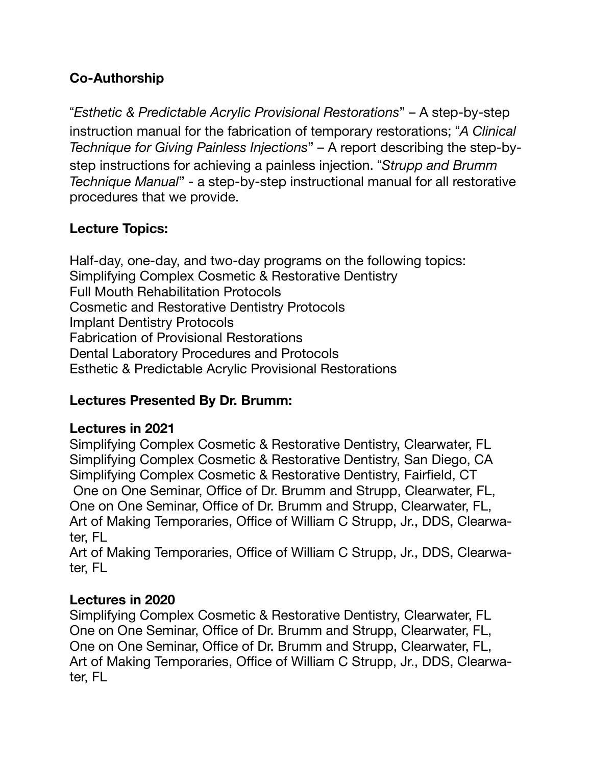# **Co-Authorship**

"*Esthetic & Predictable Acrylic Provisional Restorations*" – A step-by-step instruction manual for the fabrication of temporary restorations; "*A Clinical Technique for Giving Painless Injections*" – A report describing the step-bystep instructions for achieving a painless injection. "*Strupp and Brumm Technique Manual*" - a step-by-step instructional manual for all restorative procedures that we provide.

## **Lecture Topics:**

Half-day, one-day, and two-day programs on the following topics: Simplifying Complex Cosmetic & Restorative Dentistry Full Mouth Rehabilitation Protocols Cosmetic and Restorative Dentistry Protocols Implant Dentistry Protocols Fabrication of Provisional Restorations Dental Laboratory Procedures and Protocols Esthetic & Predictable Acrylic Provisional Restorations

## **Lectures Presented By Dr. Brumm:**

#### **Lectures in 2021**

Simplifying Complex Cosmetic & Restorative Dentistry, Clearwater, FL Simplifying Complex Cosmetic & Restorative Dentistry, San Diego, CA Simplifying Complex Cosmetic & Restorative Dentistry, Fairfield, CT One on One Seminar, Office of Dr. Brumm and Strupp, Clearwater, FL, One on One Seminar, Office of Dr. Brumm and Strupp, Clearwater, FL, Art of Making Temporaries, Office of William C Strupp, Jr., DDS, Clearwater, FL

Art of Making Temporaries, Office of William C Strupp, Jr., DDS, Clearwater, FL

#### **Lectures in 2020**

Simplifying Complex Cosmetic & Restorative Dentistry, Clearwater, FL One on One Seminar, Office of Dr. Brumm and Strupp, Clearwater, FL, One on One Seminar, Office of Dr. Brumm and Strupp, Clearwater, FL, Art of Making Temporaries, Office of William C Strupp, Jr., DDS, Clearwater, FL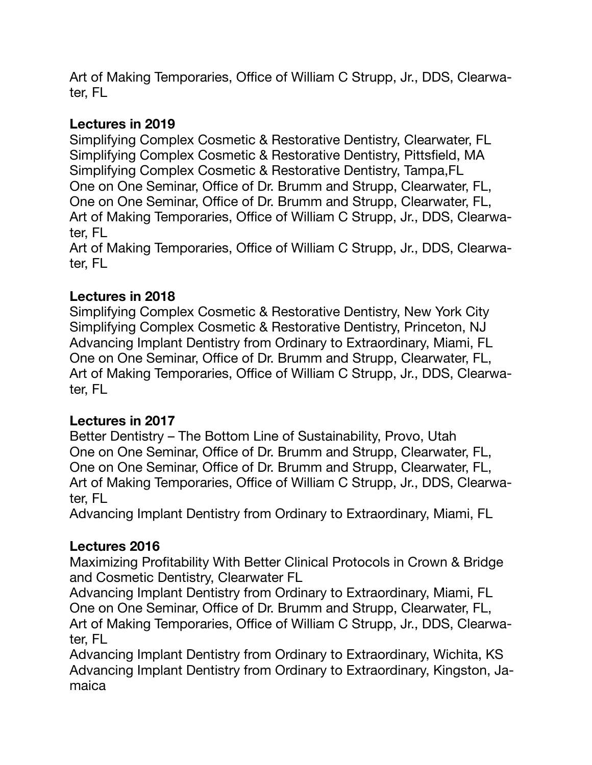Art of Making Temporaries, Office of William C Strupp, Jr., DDS, Clearwater, FL

## **Lectures in 2019**

Simplifying Complex Cosmetic & Restorative Dentistry, Clearwater, FL Simplifying Complex Cosmetic & Restorative Dentistry, Pittsfield, MA Simplifying Complex Cosmetic & Restorative Dentistry, Tampa,FL One on One Seminar, Office of Dr. Brumm and Strupp, Clearwater, FL, One on One Seminar, Office of Dr. Brumm and Strupp, Clearwater, FL, Art of Making Temporaries, Office of William C Strupp, Jr., DDS, Clearwater, FL

Art of Making Temporaries, Office of William C Strupp, Jr., DDS, Clearwater, FL

## **Lectures in 2018**

Simplifying Complex Cosmetic & Restorative Dentistry, New York City Simplifying Complex Cosmetic & Restorative Dentistry, Princeton, NJ Advancing Implant Dentistry from Ordinary to Extraordinary, Miami, FL One on One Seminar, Office of Dr. Brumm and Strupp, Clearwater, FL, Art of Making Temporaries, Office of William C Strupp, Jr., DDS, Clearwater, FL

#### **Lectures in 2017**

Better Dentistry – The Bottom Line of Sustainability, Provo, Utah One on One Seminar, Office of Dr. Brumm and Strupp, Clearwater, FL, One on One Seminar, Office of Dr. Brumm and Strupp, Clearwater, FL, Art of Making Temporaries, Office of William C Strupp, Jr., DDS, Clearwater, FL

Advancing Implant Dentistry from Ordinary to Extraordinary, Miami, FL

## **Lectures 2016**

Maximizing Profitability With Better Clinical Protocols in Crown & Bridge and Cosmetic Dentistry, Clearwater FL

Advancing Implant Dentistry from Ordinary to Extraordinary, Miami, FL One on One Seminar, Office of Dr. Brumm and Strupp, Clearwater, FL, Art of Making Temporaries, Office of William C Strupp, Jr., DDS, Clearwater, FL

Advancing Implant Dentistry from Ordinary to Extraordinary, Wichita, KS Advancing Implant Dentistry from Ordinary to Extraordinary, Kingston, Jamaica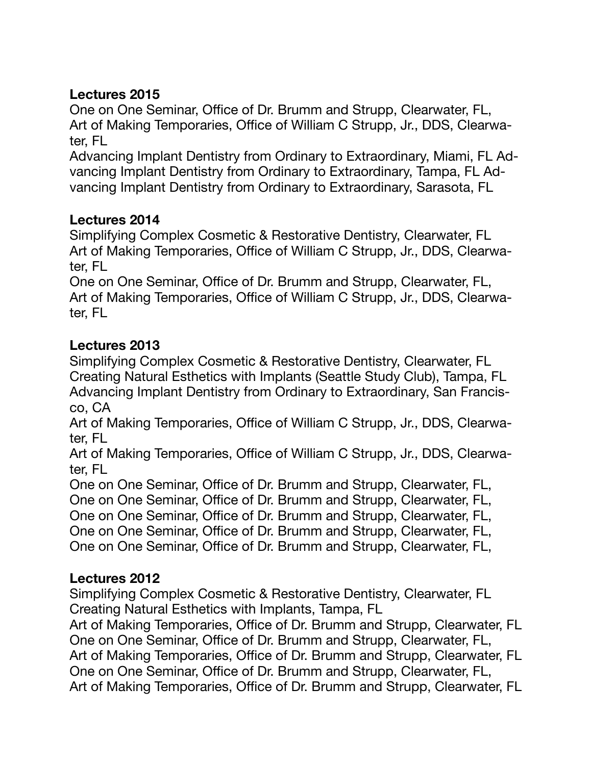# **Lectures 2015**

One on One Seminar, Office of Dr. Brumm and Strupp, Clearwater, FL, Art of Making Temporaries, Office of William C Strupp, Jr., DDS, Clearwater, FL

Advancing Implant Dentistry from Ordinary to Extraordinary, Miami, FL Advancing Implant Dentistry from Ordinary to Extraordinary, Tampa, FL Advancing Implant Dentistry from Ordinary to Extraordinary, Sarasota, FL

## **Lectures 2014**

Simplifying Complex Cosmetic & Restorative Dentistry, Clearwater, FL Art of Making Temporaries, Office of William C Strupp, Jr., DDS, Clearwater, FL

One on One Seminar, Office of Dr. Brumm and Strupp, Clearwater, FL, Art of Making Temporaries, Office of William C Strupp, Jr., DDS, Clearwater, FL

## **Lectures 2013**

Simplifying Complex Cosmetic & Restorative Dentistry, Clearwater, FL Creating Natural Esthetics with Implants (Seattle Study Club), Tampa, FL Advancing Implant Dentistry from Ordinary to Extraordinary, San Francisco, CA

Art of Making Temporaries, Office of William C Strupp, Jr., DDS, Clearwater, FL

Art of Making Temporaries, Office of William C Strupp, Jr., DDS, Clearwater, FL

One on One Seminar, Office of Dr. Brumm and Strupp, Clearwater, FL, One on One Seminar, Office of Dr. Brumm and Strupp, Clearwater, FL, One on One Seminar, Office of Dr. Brumm and Strupp, Clearwater, FL, One on One Seminar, Office of Dr. Brumm and Strupp, Clearwater, FL, One on One Seminar, Office of Dr. Brumm and Strupp, Clearwater, FL,

#### **Lectures 2012**

Simplifying Complex Cosmetic & Restorative Dentistry, Clearwater, FL Creating Natural Esthetics with Implants, Tampa, FL

Art of Making Temporaries, Office of Dr. Brumm and Strupp, Clearwater, FL One on One Seminar, Office of Dr. Brumm and Strupp, Clearwater, FL, Art of Making Temporaries, Office of Dr. Brumm and Strupp, Clearwater, FL One on One Seminar, Office of Dr. Brumm and Strupp, Clearwater, FL, Art of Making Temporaries, Office of Dr. Brumm and Strupp, Clearwater, FL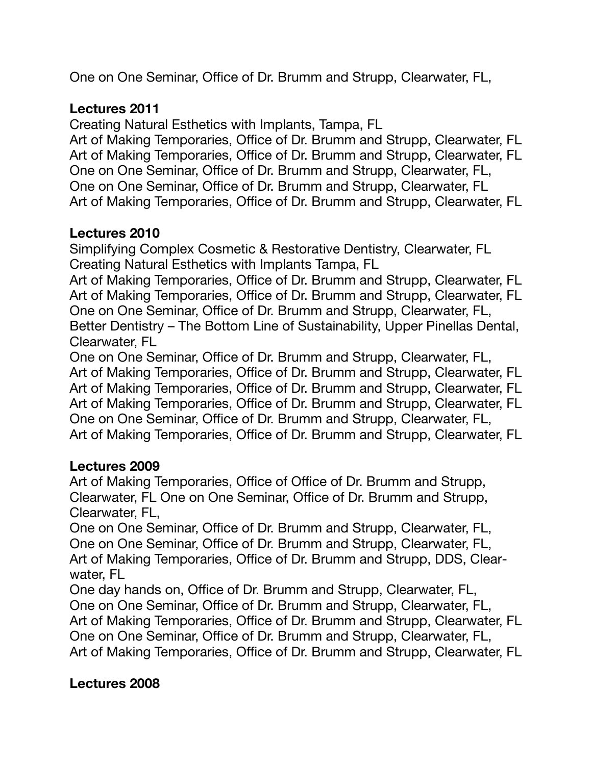One on One Seminar, Office of Dr. Brumm and Strupp, Clearwater, FL,

## **Lectures 2011**

Creating Natural Esthetics with Implants, Tampa, FL

Art of Making Temporaries, Office of Dr. Brumm and Strupp, Clearwater, FL Art of Making Temporaries, Office of Dr. Brumm and Strupp, Clearwater, FL One on One Seminar, Office of Dr. Brumm and Strupp, Clearwater, FL, One on One Seminar, Office of Dr. Brumm and Strupp, Clearwater, FL Art of Making Temporaries, Office of Dr. Brumm and Strupp, Clearwater, FL

# **Lectures 2010**

Simplifying Complex Cosmetic & Restorative Dentistry, Clearwater, FL Creating Natural Esthetics with Implants Tampa, FL

Art of Making Temporaries, Office of Dr. Brumm and Strupp, Clearwater, FL Art of Making Temporaries, Office of Dr. Brumm and Strupp, Clearwater, FL One on One Seminar, Office of Dr. Brumm and Strupp, Clearwater, FL, Better Dentistry – The Bottom Line of Sustainability, Upper Pinellas Dental, Clearwater, FL

One on One Seminar, Office of Dr. Brumm and Strupp, Clearwater, FL, Art of Making Temporaries, Office of Dr. Brumm and Strupp, Clearwater, FL Art of Making Temporaries, Office of Dr. Brumm and Strupp, Clearwater, FL Art of Making Temporaries, Office of Dr. Brumm and Strupp, Clearwater, FL One on One Seminar, Office of Dr. Brumm and Strupp, Clearwater, FL, Art of Making Temporaries, Office of Dr. Brumm and Strupp, Clearwater, FL

## **Lectures 2009**

Art of Making Temporaries, Office of Office of Dr. Brumm and Strupp, Clearwater, FL One on One Seminar, Office of Dr. Brumm and Strupp, Clearwater, FL,

One on One Seminar, Office of Dr. Brumm and Strupp, Clearwater, FL, One on One Seminar, Office of Dr. Brumm and Strupp, Clearwater, FL, Art of Making Temporaries, Office of Dr. Brumm and Strupp, DDS, Clearwater, FL

One day hands on, Office of Dr. Brumm and Strupp, Clearwater, FL, One on One Seminar, Office of Dr. Brumm and Strupp, Clearwater, FL, Art of Making Temporaries, Office of Dr. Brumm and Strupp, Clearwater, FL One on One Seminar, Office of Dr. Brumm and Strupp, Clearwater, FL, Art of Making Temporaries, Office of Dr. Brumm and Strupp, Clearwater, FL

## **Lectures 2008**